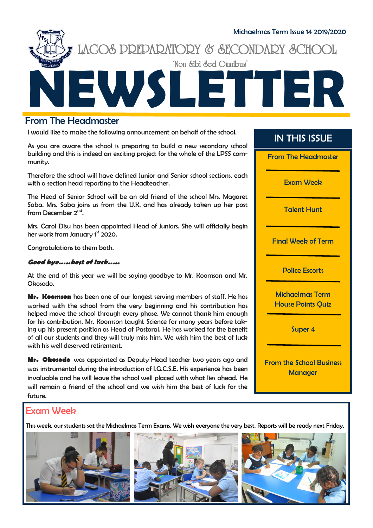

# From The Headmaster

I would like to make the following announcement on behalf of the school.

As you are aware the school is preparing to build a new secondary school building and this is indeed an exciting project for the whole of the LPSS community.

Therefore the school will have defined Junior and Senior school sections, each with a section head reporting to the Headteacher.

The Head of Senior School will be an old friend of the school Mrs. Magaret Saba. Mrs. Saba joins us from the U.K. and has already taken up her post from December 2<sup>nd</sup>.

Mrs. Carol Disu has been appointed Head of Juniors. She will officially begin her work from January 1<sup>st</sup> 2020.

Congratulations to them both.

#### **Good bye…..best of luck…..**

At the end of this year we will be saying goodbye to Mr. Koomson and Mr. Okosodo.

**Mr. Koomson** has been one of our longest serving members of staff. He has worked with the school from the very beginning and his contribution has helped move the school through every phase. We cannot thank him enough for his contribution. Mr. Koomson taught Science for many years before taking up his present position as Head of Pastoral. He has worked for the benefit of all our students and they will truly miss him. We wish him the best of luck with his well deserved retirement.

**Mr. Okosodo** was appointed as Deputy Head teacher two years ago and was instrumental during the introduction of I.G.C.S.E. His experience has been invaluable and he will leave the school well placed with what lies ahead. He will remain a friend of the school and we wish him the best of luck for the future.

## IN THIS ISSUE

From The Headmaster

Exam Week

Talent Hunt

Final Week of Term

Police Escorts

Michaelmas Term House Points Quiz

Super 4

From the School Business **Manager** 

# Exam Week

This week, our students sat the Michaelmas Term Exams. We wish everyone the very best. Reports will be ready next Friday,